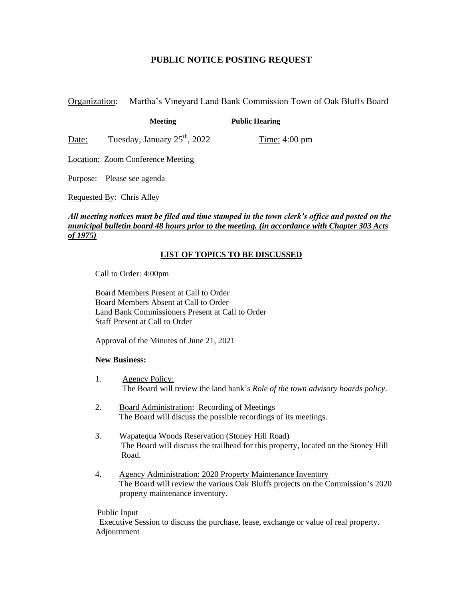## **PUBLIC NOTICE POSTING REQUEST**

Organization: Martha's Vineyard Land Bank Commission Town of Oak Bluffs Board

**Meeting Public Hearing**

Date: Tuesday, January  $25^{th}$ ,  $2022$  Time: 4:00 pm

Location: Zoom Conference Meeting

Purpose: Please see agenda

Requested By: Chris Alley

*All meeting notices must be filed and time stamped in the town clerk's office and posted on the municipal bulletin board 48 hours prior to the meeting. (in accordance with Chapter 303 Acts of 1975)*

## **LIST OF TOPICS TO BE DISCUSSED**

Call to Order: 4:00pm

Board Members Present at Call to Order Board Members Absent at Call to Order Land Bank Commissioners Present at Call to Order Staff Present at Call to Order

Approval of the Minutes of June 21, 2021

## **New Business:**

- 1. Agency Policy: The Board will review the land bank's *Role of the town advisory boards policy*.
- 2. Board Administration: Recording of Meetings The Board will discuss the possible recordings of its meetings.
- 3. Wapatequa Woods Reservation (Stoney Hill Road) The Board will discuss the trailhead for this property, located on the Stoney Hill Road.
- 4. Agency Administration: 2020 Property Maintenance Inventory The Board will review the various Oak Bluffs projects on the Commission's 2020 property maintenance inventory.

## Public Input

 Executive Session to discuss the purchase, lease, exchange or value of real property. Adjournment